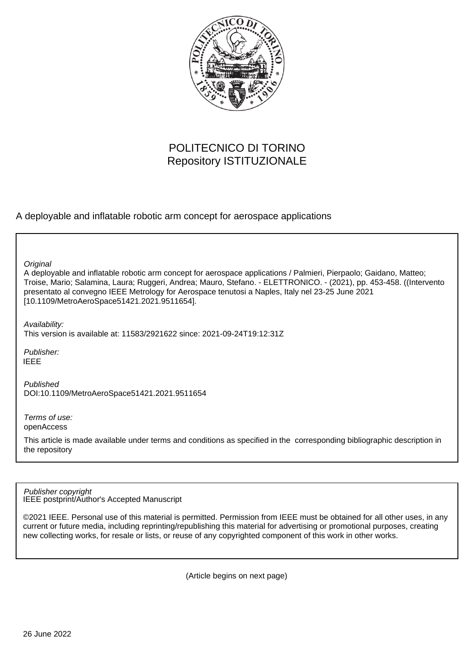

# POLITECNICO DI TORINO Repository ISTITUZIONALE

A deployable and inflatable robotic arm concept for aerospace applications

A deployable and inflatable robotic arm concept for aerospace applications / Palmieri, Pierpaolo; Gaidano, Matteo; Troise, Mario; Salamina, Laura; Ruggeri, Andrea; Mauro, Stefano. - ELETTRONICO. - (2021), pp. 453-458. ((Intervento presentato al convegno IEEE Metrology for Aerospace tenutosi a Naples, Italy nel 23-25 June 2021 [10.1109/MetroAeroSpace51421.2021.9511654]. **Original** Publisher: Published DOI:10.1109/MetroAeroSpace51421.2021.9511654 Availability: This version is available at: 11583/2921622 since: 2021-09-24T19:12:31Z IEEE

Terms of use: openAccess

This article is made available under terms and conditions as specified in the corresponding bibliographic description in the repository

IEEE postprint/Author's Accepted Manuscript Publisher copyright

©2021 IEEE. Personal use of this material is permitted. Permission from IEEE must be obtained for all other uses, in any current or future media, including reprinting/republishing this material for advertising or promotional purposes, creating new collecting works, for resale or lists, or reuse of any copyrighted component of this work in other works.

(Article begins on next page)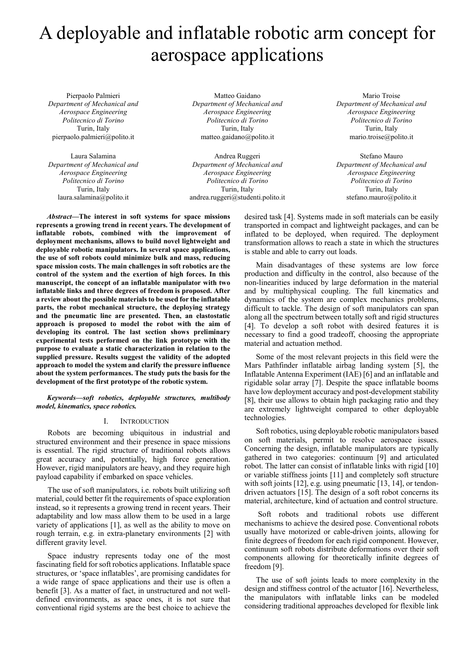# A deployable and inflatable robotic arm concept for aerospace applications

Pierpaolo Palmieri *Department of Mechanical and Aerospace Engineering Politecnico di Torino*  Turin, Italy pierpaolo.palmieri@polito.it

Laura Salamina *Department of Mechanical and Aerospace Engineering Politecnico di Torino*  Turin, Italy laura.salamina@polito.it

Matteo Gaidano *Department of Mechanical and Aerospace Engineering Politecnico di Torino*  Turin, Italy matteo.gaidano@polito.it

Andrea Ruggeri *Department of Mechanical and Aerospace Engineering Politecnico di Torino*  Turin, Italy andrea.ruggeri@studenti.polito.it

Mario Troise *Department of Mechanical and Aerospace Engineering Politecnico di Torino*  Turin, Italy mario.troise@polito.it

Stefano Mauro *Department of Mechanical and Aerospace Engineering Politecnico di Torino*  Turin, Italy stefano.mauro@polito.it

*Abstract***—The interest in soft systems for space missions represents a growing trend in recent years. The development of inflatable robots, combined with the improvement of deployment mechanisms, allows to build novel lightweight and deployable robotic manipulators. In several space applications, the use of soft robots could minimize bulk and mass, reducing space mission costs. The main challenges in soft robotics are the control of the system and the exertion of high forces. In this manuscript, the concept of an inflatable manipulator with two inflatable links and three degrees of freedom is proposed. After a review about the possible materials to be used for the inflatable parts, the robot mechanical structure, the deploying strategy and the pneumatic line are presented. Then, an elastostatic approach is proposed to model the robot with the aim of developing its control. The last section shows preliminary experimental tests performed on the link prototype with the purpose to evaluate a static characterization in relation to the supplied pressure. Results suggest the validity of the adopted approach to model the system and clarify the pressure influence about the system performances. The study puts the basis for the development of the first prototype of the robotic system.** 

*Keywords—soft robotics, deployable structures, multibody model, kinematics, space robotics.* 

# I. INTRODUCTION

Robots are becoming ubiquitous in industrial and structured environment and their presence in space missions is essential. The rigid structure of traditional robots allows great accuracy and, potentially, high force generation. However, rigid manipulators are heavy, and they require high payload capability if embarked on space vehicles.

The use of soft manipulators, i.e. robots built utilizing soft material, could better fit the requirements of space exploration instead, so it represents a growing trend in recent years. Their adaptability and low mass allow them to be used in a large variety of applications [1], as well as the ability to move on rough terrain, e.g. in extra-planetary environments [2] with different gravity level.

Space industry represents today one of the most fascinating field for soft robotics applications. Inflatable space structures, or 'space inflatables', are promising candidates for a wide range of space applications and their use is often a benefit [3]. As a matter of fact, in unstructured and not welldefined environments, as space ones, it is not sure that conventional rigid systems are the best choice to achieve the

desired task [4]. Systems made in soft materials can be easily transported in compact and lightweight packages, and can be inflated to be deployed, when required. The deployment transformation allows to reach a state in which the structures is stable and able to carry out loads.

Main disadvantages of these systems are low force production and difficulty in the control, also because of the non-linearities induced by large deformation in the material and by multiphysical coupling. The full kinematics and dynamics of the system are complex mechanics problems, difficult to tackle. The design of soft manipulators can span along all the spectrum between totally soft and rigid structures [4]. To develop a soft robot with desired features it is necessary to find a good tradeoff, choosing the appropriate material and actuation method.

Some of the most relevant projects in this field were the Mars Pathfinder inflatable airbag landing system [5], the Inflatable Antenna Experiment (IAE) [6] and an inflatable and rigidable solar array [7]. Despite the space inflatable booms have low deployment accuracy and post-development stability [8], their use allows to obtain high packaging ratio and they are extremely lightweight compared to other deployable technologies.

Soft robotics, using deployable robotic manipulators based on soft materials, permit to resolve aerospace issues. Concerning the design, inflatable manipulators are typically gathered in two categories: continuum [9] and articulated robot. The latter can consist of inflatable links with rigid [10] or variable stiffness joints [11] and completely soft structure with soft joints [12], e.g. using pneumatic [13, 14], or tendondriven actuators [15]. The design of a soft robot concerns its material, architecture, kind of actuation and control structure.

 Soft robots and traditional robots use different mechanisms to achieve the desired pose. Conventional robots usually have motorized or cable-driven joints, allowing for finite degrees of freedom for each rigid component. However, continuum soft robots distribute deformations over their soft components allowing for theoretically infinite degrees of freedom [9].

The use of soft joints leads to more complexity in the design and stiffness control of the actuator [16]. Nevertheless, the manipulators with inflatable links can be modeled considering traditional approaches developed for flexible link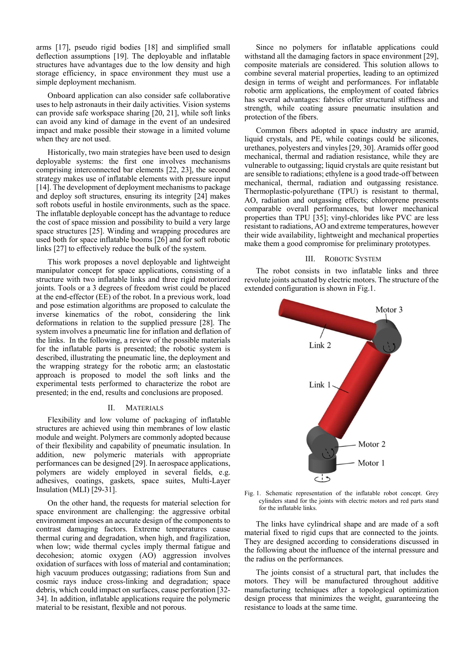arms [17], pseudo rigid bodies [18] and simplified small deflection assumptions [19]. The deployable and inflatable structures have advantages due to the low density and high storage efficiency, in space environment they must use a simple deployment mechanism.

Onboard application can also consider safe collaborative uses to help astronauts in their daily activities. Vision systems can provide safe workspace sharing [20, 21], while soft links can avoid any kind of damage in the event of an undesired impact and make possible their stowage in a limited volume when they are not used.

Historically, two main strategies have been used to design deployable systems: the first one involves mechanisms comprising interconnected bar elements [22, 23], the second strategy makes use of inflatable elements with pressure input [14]. The development of deployment mechanisms to package and deploy soft structures, ensuring its integrity [24] makes soft robots useful in hostile environments, such as the space. The inflatable deployable concept has the advantage to reduce the cost of space mission and possibility to build a very large space structures [25]. Winding and wrapping procedures are used both for space inflatable booms [26] and for soft robotic links [27] to effectively reduce the bulk of the system.

This work proposes a novel deployable and lightweight manipulator concept for space applications, consisting of a structure with two inflatable links and three rigid motorized joints. Tools or a 3 degrees of freedom wrist could be placed at the end-effector (EE) of the robot. In a previous work, load and pose estimation algorithms are proposed to calculate the inverse kinematics of the robot, considering the link deformations in relation to the supplied pressure [28]. The system involves a pneumatic line for inflation and deflation of the links. In the following, a review of the possible materials for the inflatable parts is presented; the robotic system is described, illustrating the pneumatic line, the deployment and the wrapping strategy for the robotic arm; an elastostatic approach is proposed to model the soft links and the experimental tests performed to characterize the robot are presented; in the end, results and conclusions are proposed.

# II. MATERIALS

Flexibility and low volume of packaging of inflatable structures are achieved using thin membranes of low elastic module and weight. Polymers are commonly adopted because of their flexibility and capability of pneumatic insulation. In addition, new polymeric materials with appropriate performances can be designed [29]. In aerospace applications, polymers are widely employed in several fields, e.g. adhesives, coatings, gaskets, space suites, Multi-Layer Insulation (MLI) [29-31].

On the other hand, the requests for material selection for space environment are challenging: the aggressive orbital environment imposes an accurate design of the components to contrast damaging factors. Extreme temperatures cause thermal curing and degradation, when high, and fragilization, when low; wide thermal cycles imply thermal fatigue and decohesion; atomic oxygen (AO) aggression involves oxidation of surfaces with loss of material and contamination; high vacuum produces outgassing; radiations from Sun and cosmic rays induce cross-linking and degradation; space debris, which could impact on surfaces, cause perforation [32- 34]. In addition, inflatable applications require the polymeric material to be resistant, flexible and not porous.

Since no polymers for inflatable applications could withstand all the damaging factors in space environment [29], composite materials are considered. This solution allows to combine several material properties, leading to an optimized design in terms of weight and performances. For inflatable robotic arm applications, the employment of coated fabrics has several advantages: fabrics offer structural stiffness and strength, while coating assure pneumatic insulation and protection of the fibers.

Common fibers adopted in space industry are aramid, liquid crystals, and PE, while coatings could be silicones, urethanes, polyesters and vinyles [29, 30]. Aramids offer good mechanical, thermal and radiation resistance, while they are vulnerable to outgassing; liquid crystals are quite resistant but are sensible to radiations; ethylene is a good trade-off between mechanical, thermal, radiation and outgassing resistance. Thermoplastic-polyurethane (TPU) is resistant to thermal, AO, radiation and outgassing effects; chloroprene presents comparable overall performances, but lower mechanical properties than TPU [35]; vinyl-chlorides like PVC are less resistant to radiations, AO and extreme temperatures, however their wide availability, lightweight and mechanical properties make them a good compromise for preliminary prototypes.

#### III. ROBOTIC SYSTEM

The robot consists in two inflatable links and three revolute joints actuated by electric motors. The structure of the extended configuration is shown in Fig.1.



Fig. 1. Schematic representation of the inflatable robot concept. Grey cylinders stand for the joints with electric motors and red parts stand for the inflatable links.

The links have cylindrical shape and are made of a soft material fixed to rigid cups that are connected to the joints. They are designed according to considerations discussed in the following about the influence of the internal pressure and the radius on the performances.

The joints consist of a structural part, that includes the motors. They will be manufactured throughout additive manufacturing techniques after a topological optimization design process that minimizes the weight, guaranteeing the resistance to loads at the same time.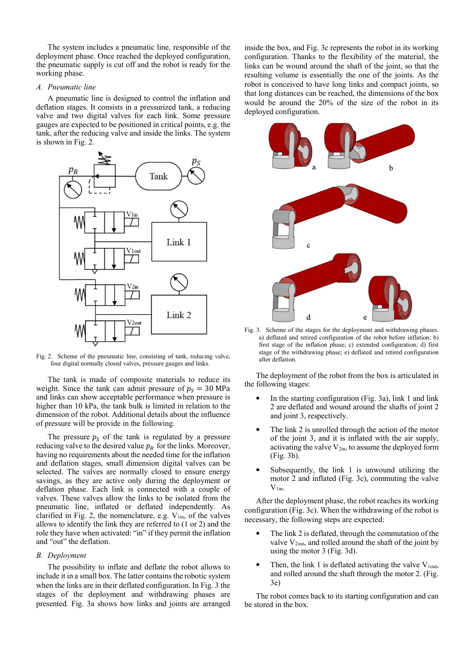The system includes a pneumatic line, responsible of the deployment phase. Once reached the deployed configuration, the pneumatic supply is cut off and the robot is ready for the working phase.

# *A. Pneumatic line*

A pneumatic line is designed to control the inflation and deflation stages. It consists in a pressurized tank, a reducing valve and two digital valves for each link. Some pressure gauges are expected to be positioned in critical points, e.g. the tank, after the reducing valve and inside the links. The system is shown in Fig. 2.



Fig. 2. Scheme of the pneumatic line, consisting of tank, reducing valve, four digital normally closed valves, pressure gauges and links.

The tank is made of composite materials to reduce its weight. Since the tank can admit pressure of  $p_s = 30 \text{ MPa}$ and links can show acceptable performance when pressure is higher than 10 kPa, the tank bulk is limited in relation to the dimension of the robot. Additional details about the influence of pressure will be provide in the following.

The pressure  $p<sub>S</sub>$  of the tank is regulated by a pressure reducing valve to the desired value  $p_R$  for the links. Moreover, having no requirements about the needed time for the inflation and deflation stages, small dimension digital valves can be selected. The valves are normally closed to ensure energy savings, as they are active only during the deployment or deflation phase. Each link is connected with a couple of valves. These valves allow the links to be isolated from the pneumatic line, inflated or deflated independently. As clarified in Fig. 2, the nomenclature, e.g.  $V_{lin}$ , of the valves allows to identify the link they are referred to (1 or 2) and the role they have when activated: "in" if they permit the inflation and "out" the deflation.

# *B. Deployment*

The possibility to inflate and deflate the robot allows to include it in a small box. The latter contains the robotic system when the links are in their deflated configuration. In Fig. 3 the stages of the deployment and withdrawing phases are presented. Fig. 3a shows how links and joints are arranged inside the box, and Fig. 3c represents the robot in its working configuration. Thanks to the flexibility of the material, the links can be wound around the shaft of the joint, so that the resulting volume is essentially the one of the joints. As the robot is conceived to have long links and compact joints, so that long distances can be reached, the dimensions of the box would be around the 20% of the size of the robot in its deployed configuration.



Fig. 3. Scheme of the stages for the deployment and withdrawing phases. a) deflated and retired configuration of the robot before inflation; b) first stage of the inflation phase; c) extended configuration; d) first stage of the withdrawing phase; e) deflated and retired configuration after deflation.

The deployment of the robot from the box is articulated in the following stages:

- In the starting configuration (Fig. 3a), link 1 and link 2 are deflated and wound around the shafts of joint 2 and joint 3, respectively.
- The link 2 is unrolled through the action of the motor of the joint 3, and it is inflated with the air supply, activating the valve  $V_{2in}$ , to assume the deployed form (Fig. 3b).
- Subsequently, the link 1 is unwound utilizing the motor 2 and inflated (Fig. 3c), commuting the valve  $V_{1in}$ .

After the deployment phase, the robot reaches its working configuration (Fig. 3c). When the withdrawing of the robot is necessary, the following steps are expected:

- The link 2 is deflated, through the commutation of the valve  $V_{2out}$ , and rolled around the shaft of the joint by using the motor 3 (Fig. 3d).
- Then, the link 1 is deflated activating the valve  $V_{1\text{out}}$ , and rolled around the shaft through the motor 2. (Fig. 3e)

The robot comes back to its starting configuration and can be stored in the box.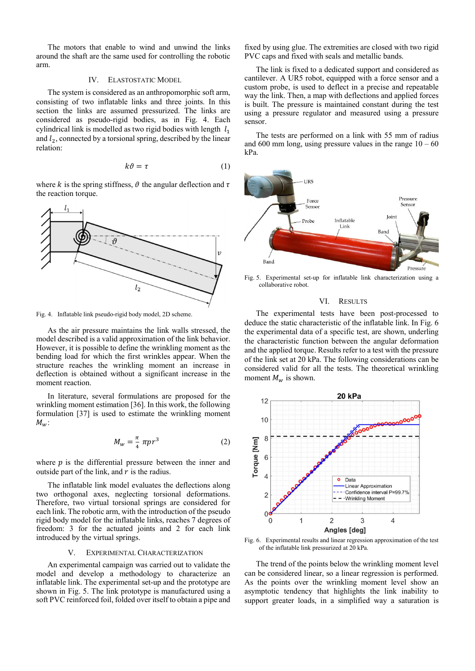The motors that enable to wind and unwind the links around the shaft are the same used for controlling the robotic arm.

#### IV. ELASTOSTATIC MODEL

The system is considered as an anthropomorphic soft arm, consisting of two inflatable links and three joints. In this section the links are assumed pressurized. The links are considered as pseudo-rigid bodies, as in Fig. 4. Each cylindrical link is modelled as two rigid bodies with length  $l_1$ and  $l_2$ , connected by a torsional spring, described by the linear relation:

$$
k\vartheta = \tau \tag{1}
$$

where k is the spring stiffness,  $\vartheta$  the angular deflection and  $\tau$ the reaction torque.



Fig. 4. Inflatable link pseudo-rigid body model, 2D scheme.

As the air pressure maintains the link walls stressed, the model described is a valid approximation of the link behavior. However, it is possible to define the wrinkling moment as the bending load for which the first wrinkles appear. When the structure reaches the wrinkling moment an increase in deflection is obtained without a significant increase in the moment reaction.

In literature, several formulations are proposed for the wrinkling moment estimation [36]. In this work, the following formulation [37] is used to estimate the wrinkling moment  $M_w$ :

$$
M_w = \frac{\pi}{4} \pi p r^3 \tag{2}
$$

where  $p$  is the differential pressure between the inner and outside part of the link, and  $r$  is the radius.

The inflatable link model evaluates the deflections along two orthogonal axes, neglecting torsional deformations. Therefore, two virtual torsional springs are considered for each link. The robotic arm, with the introduction of the pseudo rigid body model for the inflatable links, reaches 7 degrees of freedom: 3 for the actuated joints and 2 for each link introduced by the virtual springs.

# V. EXPERIMENTAL CHARACTERIZATION

An experimental campaign was carried out to validate the model and develop a methodology to characterize an inflatable link. The experimental set-up and the prototype are shown in Fig. 5. The link prototype is manufactured using a soft PVC reinforced foil, folded over itself to obtain a pipe and fixed by using glue. The extremities are closed with two rigid PVC caps and fixed with seals and metallic bands.

The link is fixed to a dedicated support and considered as cantilever. A UR5 robot, equipped with a force sensor and a custom probe, is used to deflect in a precise and repeatable way the link. Then, a map with deflections and applied forces is built. The pressure is maintained constant during the test using a pressure regulator and measured using a pressure sensor.

The tests are performed on a link with 55 mm of radius and  $600$  mm long, using pressure values in the range  $10 - 60$ kPa.



Fig. 5. Experimental set-up for inflatable link characterization using a collaborative robot.

#### VI. RESULTS

The experimental tests have been post-processed to deduce the static characteristic of the inflatable link. In Fig. 6 the experimental data of a specific test, are shown, underling the characteristic function between the angular deformation and the applied torque. Results refer to a test with the pressure of the link set at 20 kPa. The following considerations can be considered valid for all the tests. The theoretical wrinkling moment  $M_w$  is shown.



Fig. 6. Experimental results and linear regression approximation of the test of the inflatable link pressurized at 20 kPa.

The trend of the points below the wrinkling moment level can be considered linear, so a linear regression is performed. As the points over the wrinkling moment level show an asymptotic tendency that highlights the link inability to support greater loads, in a simplified way a saturation is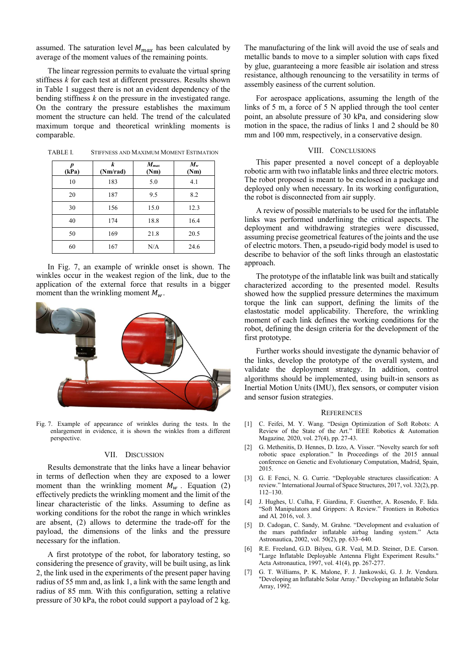assumed. The saturation level  $M_{max}$  has been calculated by average of the moment values of the remaining points.

The linear regression permits to evaluate the virtual spring stiffness *k* for each test at different pressures. Results shown in Table 1 suggest there is not an evident dependency of the bending stiffness *k* on the pressure in the investigated range. On the contrary the pressure establishes the maximum moment the structure can held. The trend of the calculated maximum torque and theoretical wrinkling moments is comparable.

| p<br>(kPa) | k<br>(Nm/rad) | $M_{max}$<br>(Nm) | $M_{w}$<br>(Nm) |
|------------|---------------|-------------------|-----------------|
| 10         | 183           | 5.0               | 4.1             |
| 20         | 187           | 9.5               | 8.2             |
| 30         | 156           | 15.0              | 12.3            |
| 40         | 174           | 18.8              | 16.4            |
| 50         | 169           | 21.8              | 20.5            |
| 60         | 167           | N/A               | 24.6            |

TABLE I. STIFFNESS AND MAXIMUM MOMENT ESTIMATION

In Fig. 7, an example of wrinkle onset is shown. The winkles occur in the weakest region of the link, due to the application of the external force that results in a bigger moment than the wrinkling moment  $M_{\rm w}$ .



Fig. 7. Example of appearance of wrinkles during the tests. In the enlargement in evidence, it is shown the winkles from a different perspective.

#### VII. DISCUSSION

Results demonstrate that the links have a linear behavior in terms of deflection when they are exposed to a lower moment than the wrinkling moment  $M_w$ . Equation (2) effectively predicts the wrinkling moment and the limit of the linear characteristic of the links. Assuming to define as working conditions for the robot the range in which wrinkles are absent, (2) allows to determine the trade-off for the payload, the dimensions of the links and the pressure necessary for the inflation.

A first prototype of the robot, for laboratory testing, so considering the presence of gravity, will be built using, as link 2, the link used in the experiments of the present paper having radius of 55 mm and, as link 1, a link with the same length and radius of 85 mm. With this configuration, setting a relative pressure of 30 kPa, the robot could support a payload of 2 kg.

The manufacturing of the link will avoid the use of seals and metallic bands to move to a simpler solution with caps fixed by glue, guaranteeing a more feasible air isolation and stress resistance, although renouncing to the versatility in terms of assembly easiness of the current solution.

For aerospace applications, assuming the length of the links of 5 m, a force of 5 N applied through the tool center point, an absolute pressure of 30 kPa, and considering slow motion in the space, the radius of links 1 and 2 should be 80 mm and 100 mm, respectively, in a conservative design.

# VIII. CONCLUSIONS

This paper presented a novel concept of a deployable robotic arm with two inflatable links and three electric motors. The robot proposed is meant to be enclosed in a package and deployed only when necessary. In its working configuration, the robot is disconnected from air supply.

A review of possible materials to be used for the inflatable links was performed underlining the critical aspects. The deployment and withdrawing strategies were discussed, assuming precise geometrical features of the joints and the use of electric motors. Then, a pseudo-rigid body model is used to describe to behavior of the soft links through an elastostatic approach.

The prototype of the inflatable link was built and statically characterized according to the presented model. Results showed how the supplied pressure determines the maximum torque the link can support, defining the limits of the elastostatic model applicability. Therefore, the wrinkling moment of each link defines the working conditions for the robot, defining the design criteria for the development of the first prototype.

Further works should investigate the dynamic behavior of the links, develop the prototype of the overall system, and validate the deployment strategy. In addition, control algorithms should be implemented, using built-in sensors as Inertial Motion Units (IMU), flex sensors, or computer vision and sensor fusion strategies.

# **REFERENCES**

- [1] C. Feifei, M. Y. Wang. "Design Optimization of Soft Robots: A Review of the State of the Art." IEEE Robotics & Automation Magazine*,* 2020, vol. 27(4), pp. 27-43.
- [2] G. Methenitis, D. Hennes, D. Izzo, A. Visser. "Novelty search for soft robotic space exploration." In Proceedings of the 2015 annual conference on Genetic and Evolutionary Computation, Madrid, Spain, 2015.
- [3] G. E Fenci, N. G. Currie. "Deployable structures classification: A review." International Journal of Space Structures, 2017, vol. 32(2), pp. 112–130.
- [4] J. Hughes, U. Culha, F. Giardina, F. Guenther, A. Rosendo, F. Iida. "Soft Manipulators and Grippers: A Review." Frontiers in Robotics and AI*,* 2016, vol. 3.
- [5] D. Cadogan, C. Sandy, M. Grahne. "Development and evaluation of the mars pathfinder inflatable airbag landing system." Acta Astronautica, 2002, vol. 50(2), pp. 633–640.
- [6] R.E. Freeland, G.D. Bilyeu, G.R. Veal, M.D. Steiner, D.E. Carson. "Large Inflatable Deployable Antenna Flight Experiment Results." Acta Astronautica, 1997, vol. 41(4), pp. 267-277.
- [7] G. T. Williams, P. K. Malone, F. J. Jankowski, G. J. Jr. Vendura. "Developing an Inflatable Solar Array." Developing an Inflatable Solar Array, 1992.